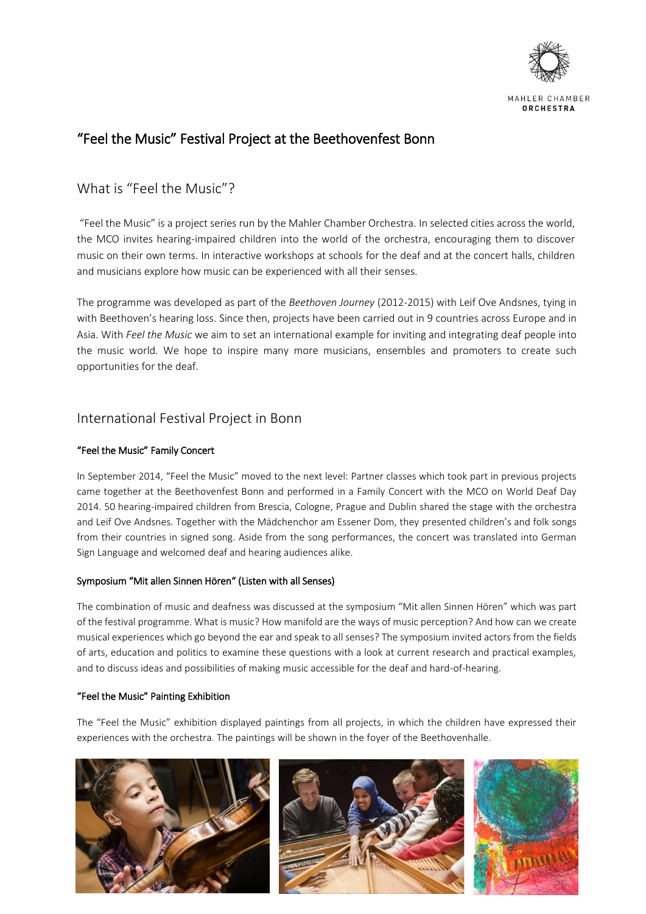

MAHLER CHAMBER ORCHESTRA

# "Feel the Music" Festival Project at the Beethovenfest Bonn

## What is "Feel the Music"?

"Feel the Music" is a project series run by the Mahler Chamber Orchestra. In selected cities across the world, the MCO invites hearing-impaired children into the world of the orchestra, encouraging them to discover music on their own terms. In interactive workshops at schools for the deaf and at the concert halls, children and musicians explore how music can be experienced with all their senses.

The programme was developed as part of the *Beethoven Journey* (2012-2015) with Leif Ove Andsnes, tying in with Beethoven's hearing loss. Since then, projects have been carried out in 9 countries across Europe and in Asia. With *Feel the Music* we aim to set an international example for inviting and integrating deaf people into the music world. We hope to inspire many more musicians, ensembles and promoters to create such opportunities for the deaf.

## International Festival Project in Bonn

## "Feel the Music" Family Concert

In September 2014, "Feel the Music" moved to the next level: Partner classes which took part in previous projects came together at the Beethovenfest Bonn and performed in a Family Concert with the MCO on World Deaf Day 2014. 50 hearing-impaired children from Brescia, Cologne, Prague and Dublin shared the stage with the orchestra and Leif Ove Andsnes. Together with the Mädchenchor am Essener Dom, they presented children's and folk songs from their countries in signed song. Aside from the song performances, the concert was translated into German Sign Language and welcomed deaf and hearing audiences alike.

### Symposium "Mit allen Sinnen Hören" (Listen with all Senses)

The combination of music and deafness was discussed at the symposium "Mit allen Sinnen Hören" which was part of the festival programme. What is music? How manifold are the ways of music perception? And how can we create musical experiences which go beyond the ear and speak to all senses? The symposium invited actors from the fields of arts, education and politics to examine these questions with a look at current research and practical examples, and to discuss ideas and possibilities of making music accessible for the deaf and hard-of-hearing.

### "Feel the Music" Painting Exhibition

The "Feel the Music" exhibition displayed paintings from all projects, in which the children have expressed their experiences with the orchestra. The paintings will be shown in the foyer of the Beethovenhalle.